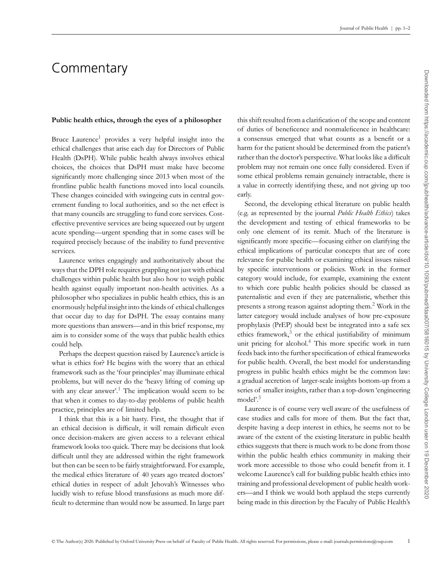## **Commentary**

## **Public health ethics, through the eyes of a philosopher**

Bruce Laurence<sup>[1](#page-1-0)</sup> provides a very helpful insight into the ethical challenges that arise each day for Directors of Public Health (DsPH). While public health always involves ethical choices, the choices that DsPH must make have become significantly more challenging since 2013 when most of the frontline public health functions moved into local councils. These changes coincided with swingeing cuts in central government funding to local authorities, and so the net effect is that many councils are struggling to fund core services. Costeffective preventive services are being squeezed out by urgent acute spending—urgent spending that in some cases will be required precisely because of the inability to fund preventive services.

Laurence writes engagingly and authoritatively about the ways that the DPH role requires grappling not just with ethical challenges within public health but also how to weigh public health against equally important non-health activities. As a philosopher who specializes in public health ethics, this is an enormously helpful insight into the kinds of ethical challenges that occur day to day for DsPH. The essay contains many more questions than answers—and in this brief response, my aim is to consider some of the ways that public health ethics could help.

Perhaps the deepest question raised by Laurence's article is what is ethics for? He begins with the worry that an ethical framework such as the 'four principles' may illuminate ethical problems, but will never do the 'heavy lifting of coming up with any clear answer'.<sup>1</sup> The implication would seem to be that when it comes to day-to-day problems of public health practice, principles are of limited help.

I think that this is a bit hasty. First, the thought that if an ethical decision is difficult, it will remain difficult even once decision-makers are given access to a relevant ethical framework looks too quick. There may be decisions that look difficult until they are addressed within the right framework but then can be seen to be fairly straightforward. For example, the medical ethics literature of 40 years ago treated doctors' ethical duties in respect of adult Jehovah's Witnesses who lucidly wish to refuse blood transfusions as much more difficult to determine than would now be assumed. In large part

this shift resulted from a clarification of the scope and content of duties of beneficence and nonmaleficence in healthcare: a consensus emerged that what counts as a benefit or a harm for the patient should be determined from the patient's rather than the doctor's perspective. What looks like a difficult problem may not remain one once fully considered. Even if some ethical problems remain genuinely intractable, there is a value in correctly identifying these, and not giving up too early.

Second, the developing ethical literature on public health (e.g. as represented by the journal *Public Health Ethics*) takes the development and testing of ethical frameworks to be only one element of its remit. Much of the literature is significantly more specific—focusing either on clarifying the ethical implications of particular concepts that are of core relevance for public health or examining ethical issues raised by specific interventions or policies. Work in the former category would include, for example, examining the extent to which core public health policies should be classed as paternalistic and even if they are paternalistic, whether this presents a strong reason against adopting them.<sup>2</sup> Work in the latter category would include analyses of how pre-exposure prophylaxis (PrEP) should best be integrated into a safe sex ethics framework, $3$  or the ethical justifiability of minimum unit pricing for alcohol. $4$  This more specific work in turn feeds back into the further specification of ethical frameworks for public health. Overall, the best model for understanding progress in public health ethics might be the common law: a gradual accretion of larger-scale insights bottom-up from a series of smaller insights, rather than a top-down 'engineering model'[.5](#page-1-4)

Laurence is of course very well aware of the usefulness of case studies and calls for more of them. But the fact that, despite having a deep interest in ethics, he seems not to be aware of the extent of the existing literature in public health ethics suggests that there is much work to be done from those within the public health ethics community in making their work more accessible to those who could benefit from it. I welcome Laurence's call for building public health ethics into training and professional development of public health workers—and I think we would both applaud the steps currently being made in this direction by the Faculty of Public Health's